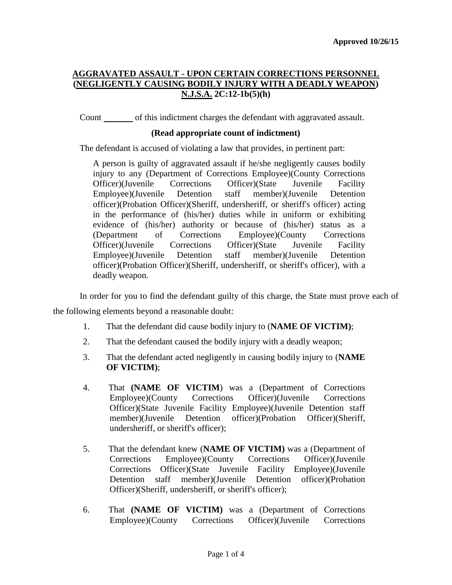# **AGGRAVATED ASSAULT - UPON CERTAIN CORRECTIONS PERSONNEL (NEGLIGENTLY CAUSING BODILY INJURY WITH A DEADLY WEAPON) N.J.S.A. 2C:12-1b(5)(h)**

Count of this indictment charges the defendant with aggravated assault.

### **(Read appropriate count of indictment)**

The defendant is accused of violating a law that provides, in pertinent part:

A person is guilty of aggravated assault if he/she negligently causes bodily injury to any (Department of Corrections Employee)(County Corrections Officer)(Juvenile Corrections Officer)(State Juvenile Facility Employee)(Juvenile Detention staff member)(Juvenile Detention officer)(Probation Officer)(Sheriff, undersheriff, or sheriff's officer) acting in the performance of (his/her) duties while in uniform or exhibiting evidence of (his/her) authority or because of (his/her) status as a (Department of Corrections Employee)(County Corrections Officer)(Juvenile Corrections Officer)(State Juvenile Facility Employee)(Juvenile Detention staff member)(Juvenile Detention officer)(Probation Officer)(Sheriff, undersheriff, or sheriff's officer), with a deadly weapon.

In order for you to find the defendant guilty of this charge, the State must prove each of the following elements beyond a reasonable doubt:

- 1. That the defendant did cause bodily injury to (**NAME OF VICTIM)**;
- 2. That the defendant caused the bodily injury with a deadly weapon;
- 3. That the defendant acted negligently in causing bodily injury to (**NAME OF VICTIM)**;
- 4. That **(NAME OF VICTIM**) was a (Department of Corrections Employee)(County Corrections Officer)(Juvenile Corrections Officer)(State Juvenile Facility Employee)(Juvenile Detention staff member)(Juvenile Detention officer)(Probation Officer)(Sheriff, undersheriff, or sheriff's officer);
- 5. That the defendant knew (**NAME OF VICTIM)** was a (Department of Corrections Employee)(County Corrections Officer)(Juvenile Corrections Officer)(State Juvenile Facility Employee)(Juvenile Detention staff member)(Juvenile Detention officer)(Probation Officer)(Sheriff, undersheriff, or sheriff's officer);
- 6. That **(NAME OF VICTIM)** was a (Department of Corrections Employee)(County Corrections Officer)(Juvenile Corrections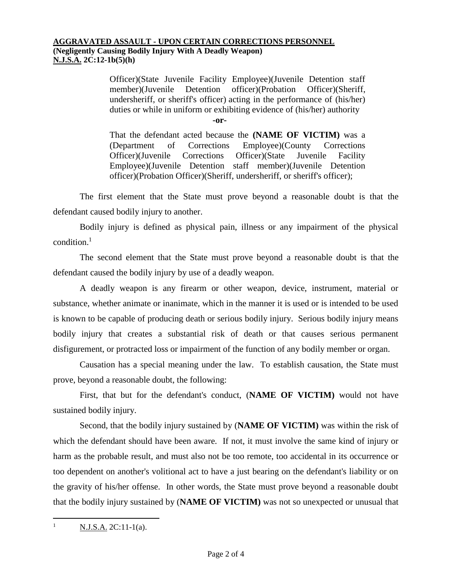#### **AGGRAVATED ASSAULT - UPON CERTAIN CORRECTIONS PERSONNEL (Negligently Causing Bodily Injury With A Deadly Weapon) N.J.S.A. 2C:12-1b(5)(h)**

Officer)(State Juvenile Facility Employee)(Juvenile Detention staff member)(Juvenile Detention officer)(Probation Officer)(Sheriff, undersheriff, or sheriff's officer) acting in the performance of (his/her) duties or while in uniform or exhibiting evidence of (his/her) authority

**-or-**

That the defendant acted because the **(NAME OF VICTIM)** was a (Department of Corrections Employee)(County Corrections Officer)(Juvenile Corrections Officer)(State Juvenile Facility Employee)(Juvenile Detention staff member)(Juvenile Detention officer)(Probation Officer)(Sheriff, undersheriff, or sheriff's officer);

The first element that the State must prove beyond a reasonable doubt is that the defendant caused bodily injury to another.

Bodily injury is defined as physical pain, illness or any impairment of the physical  $\text{condition}$ <sup>1</sup>

The second element that the State must prove beyond a reasonable doubt is that the defendant caused the bodily injury by use of a deadly weapon.

A deadly weapon is any firearm or other weapon, device, instrument, material or substance, whether animate or inanimate, which in the manner it is used or is intended to be used is known to be capable of producing death or serious bodily injury. Serious bodily injury means bodily injury that creates a substantial risk of death or that causes serious permanent disfigurement, or protracted loss or impairment of the function of any bodily member or organ.

Causation has a special meaning under the law. To establish causation, the State must prove, beyond a reasonable doubt, the following:

First, that but for the defendant's conduct, (**NAME OF VICTIM)** would not have sustained bodily injury.

Second, that the bodily injury sustained by (**NAME OF VICTIM)** was within the risk of which the defendant should have been aware. If not, it must involve the same kind of injury or harm as the probable result, and must also not be too remote, too accidental in its occurrence or too dependent on another's volitional act to have a just bearing on the defendant's liability or on the gravity of his/her offense. In other words, the State must prove beyond a reasonable doubt that the bodily injury sustained by (**NAME OF VICTIM)** was not so unexpected or unusual that

 $\mathbf{1}$  $N.J.S.A. 2C:11-1(a).$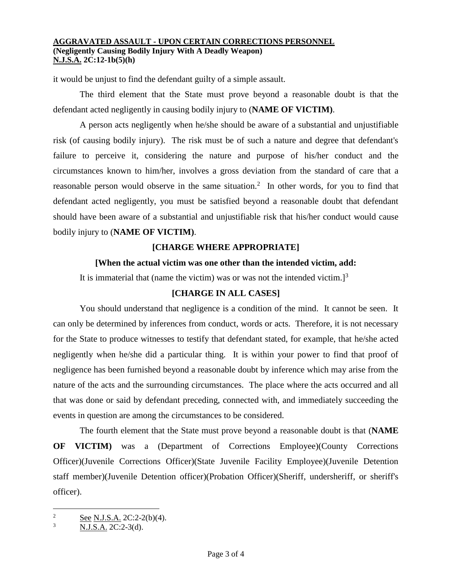#### **AGGRAVATED ASSAULT - UPON CERTAIN CORRECTIONS PERSONNEL (Negligently Causing Bodily Injury With A Deadly Weapon) N.J.S.A. 2C:12-1b(5)(h)**

it would be unjust to find the defendant guilty of a simple assault.

The third element that the State must prove beyond a reasonable doubt is that the defendant acted negligently in causing bodily injury to (**NAME OF VICTIM)**.

A person acts negligently when he/she should be aware of a substantial and unjustifiable risk (of causing bodily injury). The risk must be of such a nature and degree that defendant's failure to perceive it, considering the nature and purpose of his/her conduct and the circumstances known to him/her, involves a gross deviation from the standard of care that a reasonable person would observe in the same situation.<sup>2</sup> In other words, for you to find that defendant acted negligently, you must be satisfied beyond a reasonable doubt that defendant should have been aware of a substantial and unjustifiable risk that his/her conduct would cause bodily injury to (**NAME OF VICTIM)**.

## **[CHARGE WHERE APPROPRIATE]**

### **[When the actual victim was one other than the intended victim, add:**

It is immaterial that (name the victim) was or was not the intended victim.]<sup>3</sup>

## **[CHARGE IN ALL CASES]**

You should understand that negligence is a condition of the mind. It cannot be seen. It can only be determined by inferences from conduct, words or acts. Therefore, it is not necessary for the State to produce witnesses to testify that defendant stated, for example, that he/she acted negligently when he/she did a particular thing. It is within your power to find that proof of negligence has been furnished beyond a reasonable doubt by inference which may arise from the nature of the acts and the surrounding circumstances. The place where the acts occurred and all that was done or said by defendant preceding, connected with, and immediately succeeding the events in question are among the circumstances to be considered.

The fourth element that the State must prove beyond a reasonable doubt is that (**NAME OF VICTIM)** was a (Department of Corrections Employee)(County Corrections Officer)(Juvenile Corrections Officer)(State Juvenile Facility Employee)(Juvenile Detention staff member)(Juvenile Detention officer)(Probation Officer)(Sheriff, undersheriff, or sheriff's officer).

 $\overline{a}$ 

 $\frac{2}{3}$  See N.J.S.A. 2C:2-2(b)(4).

N.J.S.A. 2C:2-3(d).